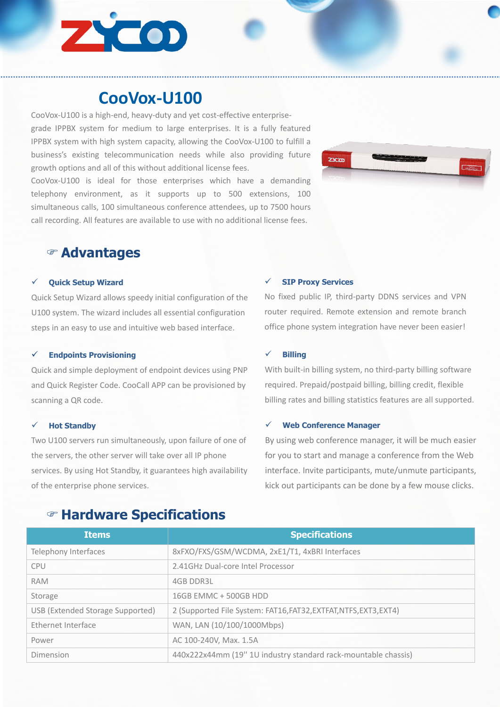

# **CooVox-U100**

CooVox-U100 is a high-end, heavy-duty and yet cost-effective enterprisegrade IPPBX system for medium to large enterprises. It is a fully featured IPPBX system with high system capacity, allowing the CooVox-U100 to fulfill a business's existing telecommunication needs while also providing future growth options and all of this without additional license fees.

CooVox-U100 is ideal for those enterprises which have a demanding telephony environment, as it supports up to 500 extensions, 100 simultaneous calls, 100 simultaneous conference attendees, up to 7500 hours call recording. All features are available to use with no additional license fees.



## F **Advantages**

## ü **Quick Setup Wizard**

Quick Setup Wizard allows speedy initial configuration of the U100 system. The wizard includes all essential configuration steps in an easy to use and intuitive web based interface.

## ü **Endpoints Provisioning**

Quick and simple deployment of endpoint devices using PNP and Quick Register Code. CooCall APP can be provisioned by scanning a QR code.

#### ü **Hot Standby**

Two U100 servers run simultaneously, upon failure of one of the servers, the other server will take over all IP phone services. By using Hot Standby, it guarantees high availability of the enterprise phone services.

## ü **SIP Proxy Services**

No fixed public IP, third-party DDNS services and VPN router required. Remote extension and remote branch office phone system integration have never been easier!

#### ü **Billing**

With built-in billing system, no third-party billing software required. Prepaid/postpaid billing, billing credit, flexible billing rates and billing statistics features are all supported.

#### ü **Web Conference Manager**

By using web conference manager, it will be much easier for you to start and manage a conference from the Web interface. Invite participants, mute/unmute participants, kick out participants can be done by a few mouse clicks.

| <b>Items</b>                     | <b>Specifications</b>                                             |
|----------------------------------|-------------------------------------------------------------------|
| Telephony Interfaces             | 8xFXO/FXS/GSM/WCDMA, 2xE1/T1, 4xBRI Interfaces                    |
| <b>CPU</b>                       | 2.41GHz Dual-core Intel Processor                                 |
| <b>RAM</b>                       | <b>4GB DDR3L</b>                                                  |
| Storage                          | 16GB EMMC + 500GB HDD                                             |
| USB (Extended Storage Supported) | 2 (Supported File System: FAT16, FAT32, EXTFAT, NTFS, EXT3, EXT4) |
| Ethernet Interface               | WAN, LAN (10/100/1000Mbps)                                        |
| Power                            | AC 100-240V, Max. 1.5A                                            |
| Dimension                        | 440x222x44mm (19" 1U industry standard rack-mountable chassis)    |

# F **Hardware Specifications**